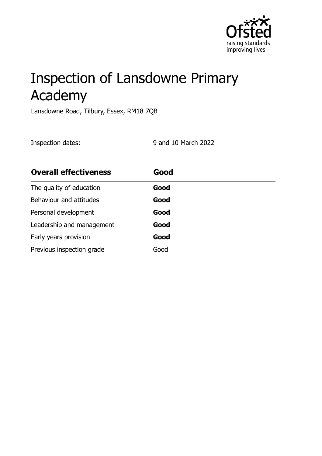

# Inspection of Lansdowne Primary Academy

Lansdowne Road, Tilbury, Essex, RM18 7QB

Inspection dates: 9 and 10 March 2022

| <b>Overall effectiveness</b> | Good |  |
|------------------------------|------|--|
| The quality of education     | Good |  |
| Behaviour and attitudes      | Good |  |
| Personal development         | Good |  |
| Leadership and management    | Good |  |
| Early years provision        | Good |  |
| Previous inspection grade    | Good |  |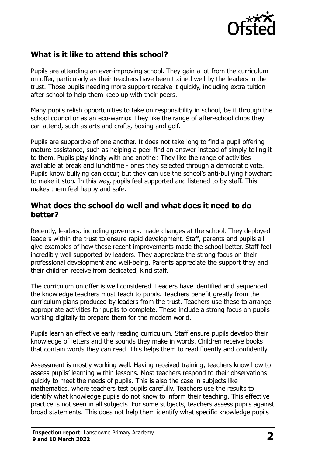

# **What is it like to attend this school?**

Pupils are attending an ever-improving school. They gain a lot from the curriculum on offer, particularly as their teachers have been trained well by the leaders in the trust. Those pupils needing more support receive it quickly, including extra tuition after school to help them keep up with their peers.

Many pupils relish opportunities to take on responsibility in school, be it through the school council or as an eco-warrior. They like the range of after-school clubs they can attend, such as arts and crafts, boxing and golf.

Pupils are supportive of one another. It does not take long to find a pupil offering mature assistance, such as helping a peer find an answer instead of simply telling it to them. Pupils play kindly with one another. They like the range of activities available at break and lunchtime - ones they selected through a democratic vote. Pupils know bullying can occur, but they can use the school's anti-bullying flowchart to make it stop. In this way, pupils feel supported and listened to by staff. This makes them feel happy and safe.

#### **What does the school do well and what does it need to do better?**

Recently, leaders, including governors, made changes at the school. They deployed leaders within the trust to ensure rapid development. Staff, parents and pupils all give examples of how these recent improvements made the school better. Staff feel incredibly well supported by leaders. They appreciate the strong focus on their professional development and well-being. Parents appreciate the support they and their children receive from dedicated, kind staff.

The curriculum on offer is well considered. Leaders have identified and sequenced the knowledge teachers must teach to pupils. Teachers benefit greatly from the curriculum plans produced by leaders from the trust. Teachers use these to arrange appropriate activities for pupils to complete. These include a strong focus on pupils working digitally to prepare them for the modern world.

Pupils learn an effective early reading curriculum. Staff ensure pupils develop their knowledge of letters and the sounds they make in words. Children receive books that contain words they can read. This helps them to read fluently and confidently.

Assessment is mostly working well. Having received training, teachers know how to assess pupils' learning within lessons. Most teachers respond to their observations quickly to meet the needs of pupils. This is also the case in subjects like mathematics, where teachers test pupils carefully. Teachers use the results to identify what knowledge pupils do not know to inform their teaching. This effective practice is not seen in all subjects. For some subjects, teachers assess pupils against broad statements. This does not help them identify what specific knowledge pupils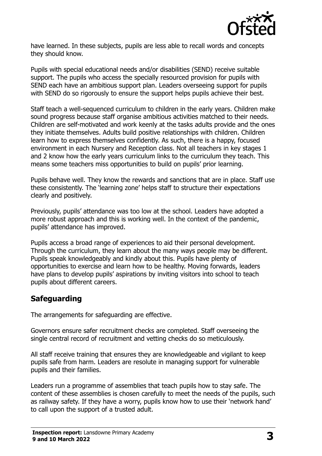

have learned. In these subjects, pupils are less able to recall words and concepts they should know.

Pupils with special educational needs and/or disabilities (SEND) receive suitable support. The pupils who access the specially resourced provision for pupils with SEND each have an ambitious support plan. Leaders overseeing support for pupils with SEND do so rigorously to ensure the support helps pupils achieve their best.

Staff teach a well-sequenced curriculum to children in the early years. Children make sound progress because staff organise ambitious activities matched to their needs. Children are self-motivated and work keenly at the tasks adults provide and the ones they initiate themselves. Adults build positive relationships with children. Children learn how to express themselves confidently. As such, there is a happy, focused environment in each Nursery and Reception class. Not all teachers in key stages 1 and 2 know how the early years curriculum links to the curriculum they teach. This means some teachers miss opportunities to build on pupils' prior learning.

Pupils behave well. They know the rewards and sanctions that are in place. Staff use these consistently. The 'learning zone' helps staff to structure their expectations clearly and positively.

Previously, pupils' attendance was too low at the school. Leaders have adopted a more robust approach and this is working well. In the context of the pandemic, pupils' attendance has improved.

Pupils access a broad range of experiences to aid their personal development. Through the curriculum, they learn about the many ways people may be different. Pupils speak knowledgeably and kindly about this. Pupils have plenty of opportunities to exercise and learn how to be healthy. Moving forwards, leaders have plans to develop pupils' aspirations by inviting visitors into school to teach pupils about different careers.

### **Safeguarding**

The arrangements for safeguarding are effective.

Governors ensure safer recruitment checks are completed. Staff overseeing the single central record of recruitment and vetting checks do so meticulously.

All staff receive training that ensures they are knowledgeable and vigilant to keep pupils safe from harm. Leaders are resolute in managing support for vulnerable pupils and their families.

Leaders run a programme of assemblies that teach pupils how to stay safe. The content of these assemblies is chosen carefully to meet the needs of the pupils, such as railway safety. If they have a worry, pupils know how to use their 'network hand' to call upon the support of a trusted adult.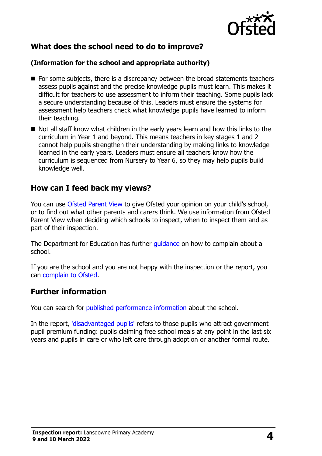

# **What does the school need to do to improve?**

#### **(Information for the school and appropriate authority)**

- For some subjects, there is a discrepancy between the broad statements teachers assess pupils against and the precise knowledge pupils must learn. This makes it difficult for teachers to use assessment to inform their teaching. Some pupils lack a secure understanding because of this. Leaders must ensure the systems for assessment help teachers check what knowledge pupils have learned to inform their teaching.
- Not all staff know what children in the early years learn and how this links to the curriculum in Year 1 and beyond. This means teachers in key stages 1 and 2 cannot help pupils strengthen their understanding by making links to knowledge learned in the early years. Leaders must ensure all teachers know how the curriculum is sequenced from Nursery to Year 6, so they may help pupils build knowledge well.

### **How can I feed back my views?**

You can use [Ofsted Parent View](http://parentview.ofsted.gov.uk/) to give Ofsted your opinion on your child's school, or to find out what other parents and carers think. We use information from Ofsted Parent View when deciding which schools to inspect, when to inspect them and as part of their inspection.

The Department for Education has further [guidance](http://www.gov.uk/complain-about-school) on how to complain about a school.

If you are the school and you are not happy with the inspection or the report, you can [complain to Ofsted.](http://www.gov.uk/complain-ofsted-report)

### **Further information**

You can search for [published performance information](http://www.compare-school-performance.service.gov.uk/) about the school.

In the report, ['disadvantaged pupils'](http://www.gov.uk/guidance/pupil-premium-information-for-schools-and-alternative-provision-settings) refers to those pupils who attract government pupil premium funding: pupils claiming free school meals at any point in the last six years and pupils in care or who left care through adoption or another formal route.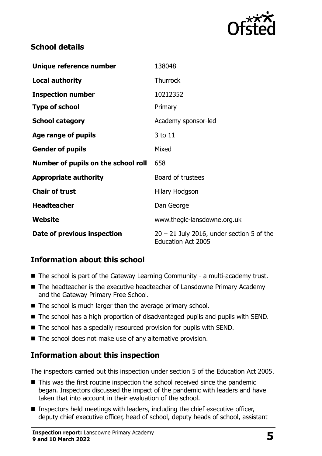

# **School details**

| Unique reference number             | 138048                                                                   |
|-------------------------------------|--------------------------------------------------------------------------|
| <b>Local authority</b>              | <b>Thurrock</b>                                                          |
| <b>Inspection number</b>            | 10212352                                                                 |
| <b>Type of school</b>               | Primary                                                                  |
| <b>School category</b>              | Academy sponsor-led                                                      |
| Age range of pupils                 | 3 to 11                                                                  |
| <b>Gender of pupils</b>             | Mixed                                                                    |
| Number of pupils on the school roll | 658                                                                      |
| <b>Appropriate authority</b>        | Board of trustees                                                        |
| <b>Chair of trust</b>               | <b>Hilary Hodgson</b>                                                    |
| <b>Headteacher</b>                  | Dan George                                                               |
| Website                             | www.theglc-lansdowne.org.uk                                              |
| Date of previous inspection         | $20 - 21$ July 2016, under section 5 of the<br><b>Education Act 2005</b> |

# **Information about this school**

- The school is part of the Gateway Learning Community a multi-academy trust.
- The headteacher is the executive headteacher of Lansdowne Primary Academy and the Gateway Primary Free School.
- The school is much larger than the average primary school.
- The school has a high proportion of disadvantaged pupils and pupils with SEND.
- The school has a specially resourced provision for pupils with SEND.
- The school does not make use of any alternative provision.

### **Information about this inspection**

The inspectors carried out this inspection under section 5 of the Education Act 2005.

- This was the first routine inspection the school received since the pandemic began. Inspectors discussed the impact of the pandemic with leaders and have taken that into account in their evaluation of the school.
- Inspectors held meetings with leaders, including the chief executive officer, deputy chief executive officer, head of school, deputy heads of school, assistant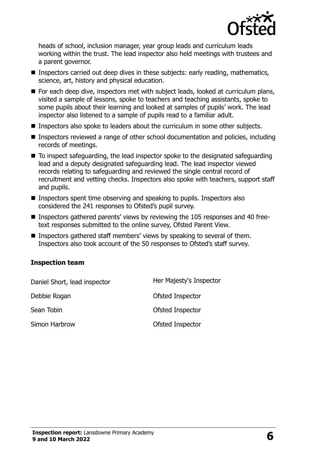

heads of school, inclusion manager, year group leads and curriculum leads working within the trust. The lead inspector also held meetings with trustees and a parent governor.

- Inspectors carried out deep dives in these subjects: early reading, mathematics, science, art, history and physical education.
- For each deep dive, inspectors met with subject leads, looked at curriculum plans, visited a sample of lessons, spoke to teachers and teaching assistants, spoke to some pupils about their learning and looked at samples of pupils' work. The lead inspector also listened to a sample of pupils read to a familiar adult.
- Inspectors also spoke to leaders about the curriculum in some other subjects.
- Inspectors reviewed a range of other school documentation and policies, including records of meetings.
- $\blacksquare$  To inspect safeguarding, the lead inspector spoke to the designated safeguarding lead and a deputy designated safeguarding lead. The lead inspector viewed records relating to safeguarding and reviewed the single central record of recruitment and vetting checks. Inspectors also spoke with teachers, support staff and pupils.
- $\blacksquare$  Inspectors spent time observing and speaking to pupils. Inspectors also considered the 241 responses to Ofsted's pupil survey.
- Inspectors gathered parents' views by reviewing the 105 responses and 40 freetext responses submitted to the online survey, Ofsted Parent View.
- **Inspectors gathered staff members' views by speaking to several of them.** Inspectors also took account of the 50 responses to Ofsted's staff survey.

#### **Inspection team**

| Daniel Short, lead inspector | Her Majesty's Inspector |
|------------------------------|-------------------------|
| Debbie Rogan                 | Ofsted Inspector        |
| Sean Tobin                   | Ofsted Inspector        |
| Simon Harbrow                | Ofsted Inspector        |